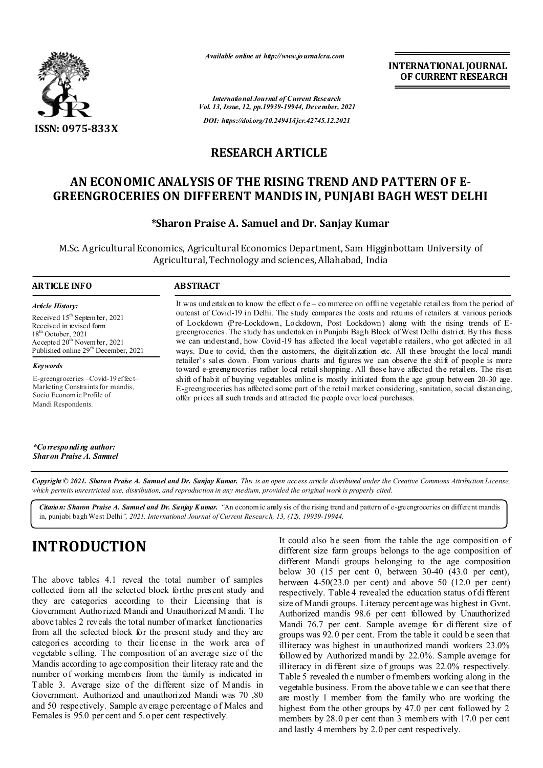

*Available online at http://www.journalcra.com*

*International Journal of Current Research Vol. 13, Issue, 12, pp.19939-19944, December, 2021 DOI: https://doi.org/10.24941/ijcr.42745.12.2021*

**INTERNATIONAL JOURNAL OF CURRENT RESEARCH**

## **RESEARCH ARTICLE**

# **AN ECONOMIC ANALYSIS OF THE RISING TREND AND PATTERN OF E-GREENGROCERIES ON DIFFERENT MANDIS IN, PUNJABI BAGH WEST DELHI**

### **\*Sharon Praise A. Samuel and Dr. Sanjay Kumar**

M.Sc. Agricultural Economics, Agricultural Economics Department, Sam Higginbottam University of Agricultural, Technology and sciences, Allahabad, India

#### **ARTICLE INFO ABSTRACT**

*Article History: Article History:* Received  $15^{\text{th}}$  Septem ber, 2021 Received in revised form Received in revised form  $18<sup>th</sup>$  October, 2021 Accepted  $20^{\text{th}}$  November, 2021 Published online 29<sup>th</sup> December, 2021  $18<sup>th</sup>$  October, 2021 Ac cepted  $20^{\text{th}}$  Novem b 18<sup>th</sup> October, 2021 Accepted 20<sup>th</sup> Novem ber, 2021

*Keywords* E-greengroceries –Covid-19 effect–

Marketing Constraints for mandis, Socio Econom ic Profile of Mandi Respondents.

It was undertaken to know the effect o f e – commerce on offline vegetable retailers from the period of outcast of Covid-19 in Delhi. The study compares the costs and returns of retailers at various periods of Lockdown (Pre-Lockdown, Lockdown, Post Lockdown) along with the rising trends of Egreengroceries. The study has undertaken in Punjabi Bagh Block of West Delhi district. By this thesis we can understand, how Covid-19 has affected the local vegetable retailers, who got affected in all ways. Due to covid, then the customers, the digitalization etc. All these brought the local mandi retailer's sales down. From various charts and figures we can observe the shift of people is more toward e-greengroceries rather local retail shopping. All these have affected the retailers. The risen shift of habit of buying vegetables online is mostly initiated from the age group between 20-30 age. E-greengroceries has affected some part of the retail market considering, sanitation, social distancing, offer prices all such trends and attracted the people over local purchases.

*\*Corresponding author: Sharon Praise A. Samuel*

Copyright © 2021. Sharon Praise A. Samuel and Dr. Sanjay Kumar. This is an open access article distributed under the Creative Commons Attribution License, which permits unrestricted use, distribution, and reproduction in any medium, provided the original work is properly cited.

*Citation: Sharon Praise A. Samuel and Dr. Sanjay K umar. "*An econom ic analy sis of the rising trend and pattern of e-greengroceries on different mandis in, punjabi bagh West Delhi*", 2021. International Journal of Current Research, 13, (12), 19939-19944.*

# **INTRODUCTION**

The above tables 4.1 reveal the total number of samples collected from all the selected block forthe present study and they are categories according to their Licensing that is Government Authorized Mandi and Unauthorized M andi. The above tables 2 reveals the total number of market functionaries from all the selected block for the present study and they are categories according to their license in the work area of vegetable selling. The composition of an average size of the Mandis according to age composition their literacy rate and the number of working members from the family is indicated in Table 3. Average size of the different size of Mandis in Government. Authorized and unauthorized Mandi was 70 ,80 and 50 respectively. Sample average percentage of Males and Females is 95.0 per cent and 5.o per cent respectively.

It could also be seen from the table the age composition of different size farm groups belongs to the age composition of different Mandi groups belonging to the age composition below 30 (15 per cent 0, between 30-40 (43.0 per cent), between 4-50(23.0 per cent) and above 50 (12.0 per cent) respectively. Table 4 revealed the education status of di fferent size of Mandi groups. Literacy percentage was highest in Gvnt. Authorized mandis 98.6 per cent followed by Unauthorized Mandi 76.7 per cent. Sample average for different size of groups was 92.0 per cent. From the table it could be seen that illiteracy was highest in unauthorized mandi workers 23.0% followed by Authorized mandi by 22.0%. Sample average for illiteracy in different size of groups was 22.0% respectively. Table 5 revealed the number o fmembers working along in the vegetable business. From the above table we can see that there are mostly 1 member from the family who are working the highest from the other groups by 47.0 per cent followed by 2 members by 28.0 p er cent than 3 members with 17.0 p er cent and lastly 4 members by 2.0 per cent respectively.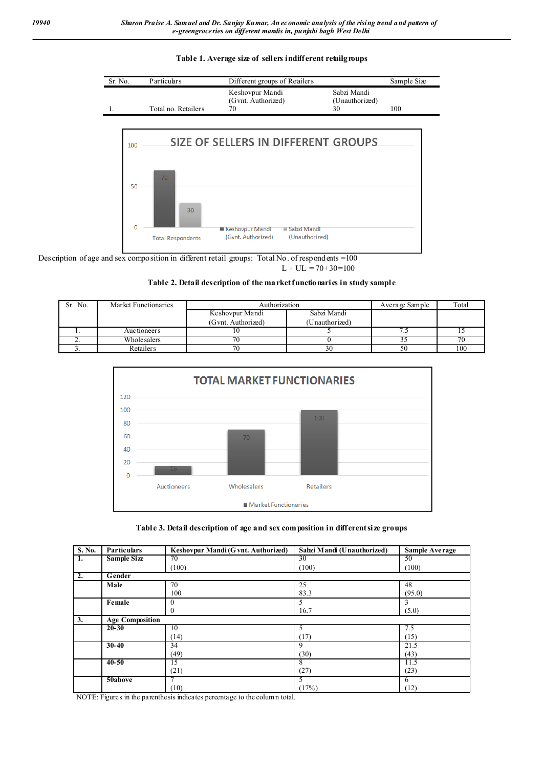#### **Table 1. Average size of sellers indifferent retailgroups**





Description of age and sex composition in different retail groups: Total No. of respondents =100  $L + UL = 70 + 30 = 100$ 

#### **Table 2. Detail description of the market functionaries in study sample**

| Sr. No. | Market Functionaries | Authorization                        | Average Sample | Total |     |
|---------|----------------------|--------------------------------------|----------------|-------|-----|
|         |                      | Sabzi Mandi<br>Keshovpur Mandi       |                |       |     |
|         |                      | (Gvnt. Authorized)<br>(Unauthorized) |                |       |     |
|         | Auctioneers          |                                      |                | ن. ا  |     |
| ـ.      | Whole salers         |                                      |                |       |     |
|         | Retailers            |                                      |                | 50    | 100 |



#### **Table 3. Detail description of age and sex composition in different size groups**

| S. No. | <b>Particulars</b>     | Keshovpur Mandi (G vnt. Authorized) | Sabzi Mandi (Unauthorized) | <b>Sample Average</b> |
|--------|------------------------|-------------------------------------|----------------------------|-----------------------|
| 1.     | <b>Sample Size</b>     | 70                                  | 30                         | 50                    |
|        |                        | (100)                               | (100)                      | (100)                 |
| 2.     | Gender                 |                                     |                            |                       |
|        | Male                   | 70                                  | 25                         | 48                    |
|        |                        | 100                                 | 83.3                       | (95.0)                |
|        | Female                 | $\mathbf{0}$                        | 5                          | 3                     |
|        |                        | $\mathbf{0}$                        | 16.7                       | (5.0)                 |
| 3.     | <b>Age Composition</b> |                                     |                            |                       |
|        | $20 - 30$              | 10                                  |                            | 7.5                   |
|        |                        | (14)                                | (17)                       | (15)                  |
|        | $30 - 40$              | 34                                  | 9                          | 21.5                  |
|        |                        | (49)                                | (30)                       | (43)                  |
|        | $40 - 50$              | 15                                  | 8                          | 11.5                  |
|        |                        | (21)                                | (27)                       | (23)                  |
|        | 50above                |                                     | э                          | 6                     |
|        |                        | (10)                                | (17%)                      | (12)                  |

NOTE: Figures in the parenthesis indicates percentage to the column total.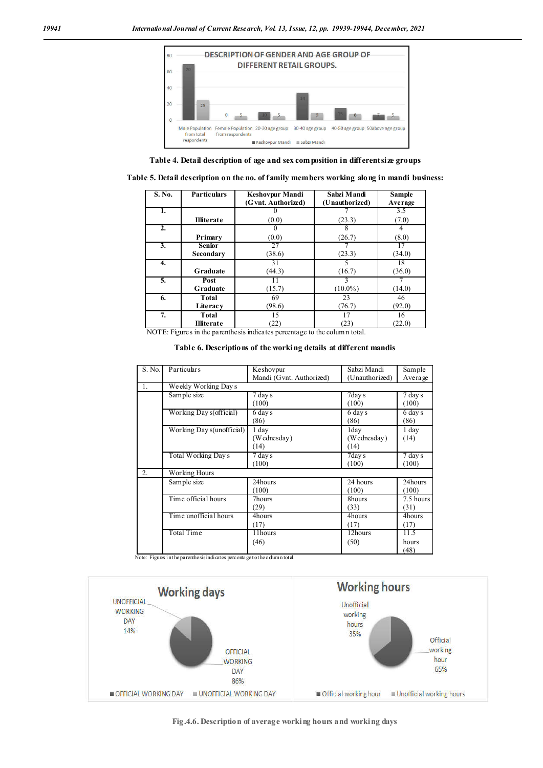

**Table 4. Detail description of age and sex composition in different size groups**

| Table 5. Detail description on the no. of family members working along in mandi business: |  |  |
|-------------------------------------------------------------------------------------------|--|--|

| S. No.           | <b>Particulars</b> | <b>Keshovpur Mandi</b><br>(G vnt. Authorized)                                                                          | Sabzi Mandi<br>(Unauthorized) | <b>Sample</b><br>Average |
|------------------|--------------------|------------------------------------------------------------------------------------------------------------------------|-------------------------------|--------------------------|
| 1.               |                    |                                                                                                                        |                               | 3.5                      |
|                  | <b>Illiterate</b>  | (0.0)                                                                                                                  | (23.3)                        | (7.0)                    |
| $\overline{2}$ . |                    |                                                                                                                        |                               | 4                        |
|                  | Primary            | (0.0)                                                                                                                  | (26.7)                        | (8.0)                    |
| $\overline{3}$ . | <b>Senior</b>      | 27                                                                                                                     |                               | 17                       |
|                  | Secondary          | (38.6)                                                                                                                 | (23.3)                        | (34.0)                   |
| 4.               |                    | 31                                                                                                                     |                               | 18                       |
|                  | <b>Graduate</b>    | (44.3)                                                                                                                 | (16.7)                        | (36.0)                   |
| 5.               | Post               |                                                                                                                        | 3                             |                          |
|                  | Graduate           | (15.7)                                                                                                                 | $(10.0\%)$                    | (14.0)                   |
| 6.               | Total              | 69                                                                                                                     | 23                            | 46                       |
|                  | Literacy           | (98.6)                                                                                                                 | (76.7)                        | (92.0)                   |
| 7.               | Total              | 15                                                                                                                     | 17                            | 16                       |
| MOTE FL          | <b>Illiterate</b>  | (22)<br>ta and the state of the state of the state of the state of the state of the state of the state of the state of | (23)                          | (22.0)                   |

NOTE: Figures in the parenthesis indicates percentage to the column total.

**Table 6. Descriptions of the working details at different mandis**

| S. No. | Particulars               | Keshovpur                | Sabzi Mandi    | Sample               |  |  |  |  |
|--------|---------------------------|--------------------------|----------------|----------------------|--|--|--|--|
|        |                           | Mandi (Gvnt. Authorized) | (Unauthorized) |                      |  |  |  |  |
|        |                           |                          |                | Average              |  |  |  |  |
| 1.     | Weekly Working Day s      |                          |                |                      |  |  |  |  |
|        | Sample size               | $\overline{7}$ day s     | $7$ day s      | $\overline{7}$ day s |  |  |  |  |
|        |                           | (100)                    | (100)          | (100)                |  |  |  |  |
|        | Working Day s(official)   | 6 day s                  | 6 day s        | $\overline{6}$ day s |  |  |  |  |
|        |                           | (86)                     | (86)           | (86)                 |  |  |  |  |
|        | Working Day s(unofficial) | 1 day                    | 1day           | 1 day                |  |  |  |  |
|        |                           | (Wednesday)              | (Wednesday)    | (14)                 |  |  |  |  |
|        |                           | (14)                     | (14)           |                      |  |  |  |  |
|        | Total Working Days        | 7 day s                  | 7day s         | 7 day s              |  |  |  |  |
|        |                           | (100)                    | (100)          | (100)                |  |  |  |  |
| 2.     | Working Hours             |                          |                |                      |  |  |  |  |
|        | Sample size               | 24hours                  | 24 hours       | 24hours              |  |  |  |  |
|        |                           | (100)                    | (100)          | (100)                |  |  |  |  |
|        | Time official hours       | 7hours                   | 8hours         | 7.5 hours            |  |  |  |  |
|        |                           | (29)                     | (33)           | (31)                 |  |  |  |  |
|        | Time unofficial hours     | 4hours                   | 4hours         | 4hours               |  |  |  |  |
|        |                           | (17)                     | (17)           | (17)                 |  |  |  |  |
|        | Total Time                | 11 hours                 | 12hours        | 11.5                 |  |  |  |  |
|        |                           | (46)                     | (50)           | hours                |  |  |  |  |
|        |                           |                          |                | (48)                 |  |  |  |  |

Note: Figures in the parenthesis indicates percentage to the c dumn total.



**Fig.4.6. Description of average working hours and working days**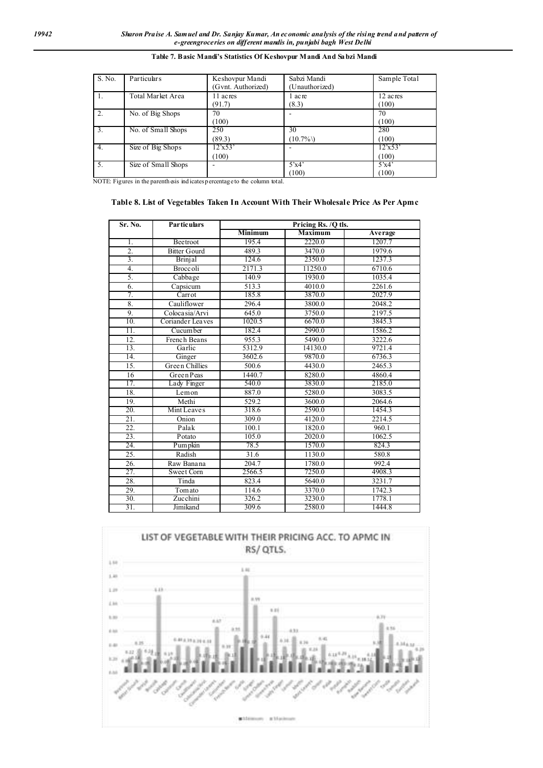| S. No.           | Particulars         | Keshovpur Mandi<br>Gvnt. Authorized) | Sabzi Mandi<br>(Unauthorized) | Sample Total      |
|------------------|---------------------|--------------------------------------|-------------------------------|-------------------|
|                  | Total Market Area   | 11 acres<br>(91.7)                   | l acre<br>(8.3)               | 12 acres<br>(100) |
| 2.               | No. of Big Shops    | 70<br>100)                           |                               | 70<br>(100)       |
| $\overline{3}$ . | No. of Small Shops  | 250<br>(89.3)                        | 30<br>$(10.7\%)$              | 280<br>(100)      |
| 4.               | Size of Big Shops   | 12'x53'<br>100)                      |                               | 12'x53'<br>(100)  |
| 5.               | Size of Small Shops |                                      | 5'x4'<br>(100)                | 5'x4'<br>(100)    |

#### **Table 7. Basic Mandi's Statistics Of Keshovpur Mandi And Sabzi Mandi**

NOTE: Figures in the parenth esis ind icates percentage to the column total.

#### **Table 8. List of Vegetables Taken In Account With Their Wholesale Price As Per Apmc**

| Sr. No.           | <b>Particulars</b><br>Pricing Rs. /Q tls. |                |                |         |  |  |
|-------------------|-------------------------------------------|----------------|----------------|---------|--|--|
|                   |                                           | <b>Minimum</b> | <b>Maximum</b> | Average |  |  |
| 1.                | Beetroot                                  | 195.4          | 2220.0         | 1207.7  |  |  |
| 2.                | <b>Bitter Gourd</b>                       | 489.3          | 3470.0         | 1979.6  |  |  |
| $\overline{3}$ .  | Brinjal                                   | 124.6          | 2350.0         | 1237.3  |  |  |
| 4.                | <b>Broccoli</b>                           | 2171.3         | 11250.0        | 6710.6  |  |  |
| 5.                | Cabbage                                   | 140.9          | 1930.0         | 1035.4  |  |  |
| 6.                | Capsicum                                  | 513.3          | 4010.0         | 2261.6  |  |  |
| 7.                | Carrot                                    | 185.8          | 3870.0         | 2027.9  |  |  |
| 8.                | Cauliflower                               | 296.4          | 3800.0         | 2048.2  |  |  |
| 9.                | Colocasia/Arvi                            | 645.0          | 3750.0         | 2197.5  |  |  |
| 10.               | Coriander Leaves                          | 1020.5         | 6670.0         | 3845.3  |  |  |
| 11.               | Cucumber                                  | 182.4          | 2990.0         | 1586.2  |  |  |
| $\overline{12}$ . | French Beans                              | 955.3          | 5490.0         | 3222.6  |  |  |
| 13.               | Garlic                                    | 5312.9         | 14130.0        | 9721.4  |  |  |
| 14.               | Ginger                                    | 3602.6         | 9870.0         | 6736.3  |  |  |
| 15.               | <b>Green Chillies</b>                     | 500.6          | 4430.0         | 2465.3  |  |  |
| 16                | GreenPeas                                 | 1440.7         | 8280.0         | 4860.4  |  |  |
| 17.               | Lady Finger                               | 540.0          | 3830.0         | 2185.0  |  |  |
| 18.               | Lemon                                     | 887.0          | 5280.0         | 3083.5  |  |  |
| 19.               | Methi                                     | 529.2          | 3600.0         | 2064.6  |  |  |
| 20.               | Mint Leaves                               | 318.6          | 2590.0         | 1454.3  |  |  |
| 21.               | Onion                                     | 309.0          | 4120.0         | 2214.5  |  |  |
| $\overline{22}$ . | Palak                                     | 100.1          | 1820.0         | 960.1   |  |  |
| 23.               | Potato                                    | 105.0          | 2020.0         | 1062.5  |  |  |
| 24.               | Pumpkin                                   | 78.5           | 1570.0         | 824.3   |  |  |
| 25.               | Radish                                    | 31.6           | 1130.0         | 580.8   |  |  |
| $\overline{26}$ . | Raw Banana                                | 204.7          | 1780.0         | 992.4   |  |  |
| 27.               | Sweet Corn                                | 2566.5         | 7250.0         | 4908.3  |  |  |
| 28.               | Tinda                                     | 823.4          | 5640.0         | 3231.7  |  |  |
| 29.               | Tomato                                    | 114.6          | 3370.0         | 1742.3  |  |  |
| 30.               | Zucchini                                  | 326.2          | 3230.0         | 1778.1  |  |  |
| 31.               | Jimikand                                  | 309.6          | 2580.0         | 1444.8  |  |  |

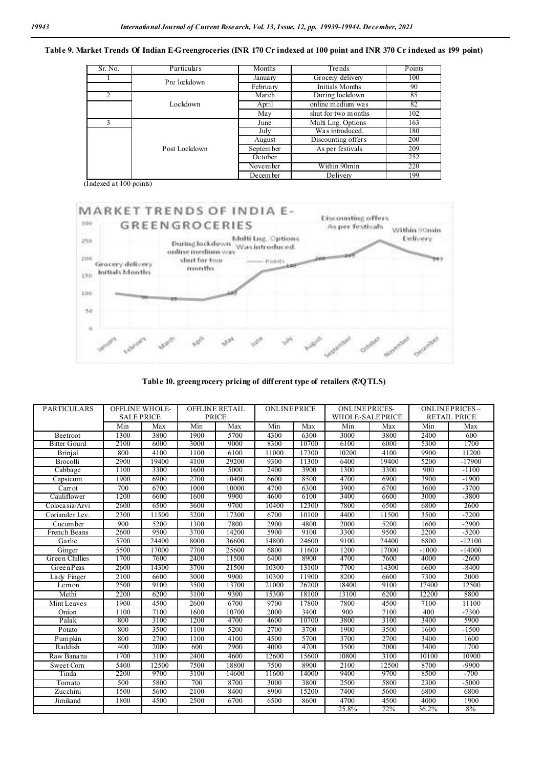**Table 9. Market Trends Of Indian E-Greengroceries (INR 170 Cr indexed at 100 point and INR 370 Cr indexed as 199 point)**

| Sr. No.       | Particulars   | Months                        | Trends                 | Points |
|---------------|---------------|-------------------------------|------------------------|--------|
|               | Pre lockdown  | January                       | Grocery delivery       | 100    |
|               |               | February                      | <b>Initials Months</b> | 90     |
|               |               | March                         | During lockdown        | 85     |
|               | Lockdown      | April                         | online medium was      | 82     |
|               |               | May                           | shut for two m onths   | 102    |
| $\mathcal{E}$ |               | June                          | Multi Lng. Options     | 163    |
|               |               | July                          | Was introduced.        | 180    |
|               |               | August                        | Discounting offers     | 200    |
|               | Post Lockdown | As per festivals<br>September |                        | 209    |
|               |               | October                       |                        | 252    |
|               |               | November                      | Within 90min           | 220    |
|               |               | December                      | Delivery               | 199    |

(Indexed at 100 points)



**Table 10. greengrocery pricing of different type of retailers (₹/QTLS)**

| <b>PARTICULARS</b>  | <b>OFFLINE WHOLE-</b><br><b>SALE PRICE</b> |       |      | <b>OFFLINE RETAIL</b><br><b>PRICE</b> | <b>ONLINEPRICE</b> |       | <b>ONLINEPRICES-</b><br><b>WHOLE-SALEPRICE</b> |       |         | ONLINEPRICES-<br><b>RETAIL PRICE</b> |
|---------------------|--------------------------------------------|-------|------|---------------------------------------|--------------------|-------|------------------------------------------------|-------|---------|--------------------------------------|
|                     | Min                                        | Max   | Min  | Max                                   | Min                | Max   | Min                                            | Max   | Min     | Max                                  |
| <b>Beetroot</b>     | 1300                                       | 3800  | 1900 | 5700                                  | 4300               | 6300  | 3000                                           | 3800  | 2400    | 600                                  |
| <b>Bitter Gourd</b> | 2100                                       | 6000  | 3000 | 9000                                  | 8300               | 10700 | 6100                                           | 6000  | 5300    | 1700                                 |
| Brinjal             | 800                                        | 4100  | 1100 | 6100                                  | 11000              | 17300 | 10200                                          | 4100  | 9900    | 11200                                |
| Brocolli            | 2900                                       | 19400 | 4100 | 29200                                 | 9300               | 11300 | 6400                                           | 19400 | 5200    | $-17900$                             |
| Cabbage             | 1100                                       | 3300  | 1600 | 5000                                  | 2400               | 3900  | 1300                                           | 3300  | 900     | $-1100$                              |
| Capsicum            | 1900                                       | 6900  | 2700 | 10400                                 | 6600               | 8500  | 4700                                           | 6900  | 3900    | $-1900$                              |
| Carrot              | 700                                        | 6700  | 1000 | 10000                                 | 4700               | 6300  | 3900                                           | 6700  | 3600    | $-3700$                              |
| Cauliflower         | 1200                                       | 6600  | 1600 | 9900                                  | 4600               | 6100  | 3400                                           | 6600  | 3000    | $-3800$                              |
| Coloca sia/Arvi     | 2600                                       | 6500  | 3600 | 9700                                  | 10400              | 12300 | 7800                                           | 6500  | 6800    | 2600                                 |
| Coriander Lev.      | 2300                                       | 11500 | 3200 | 17300                                 | 6700               | 10100 | 4400                                           | 11500 | 3500    | $-7200$                              |
| Cucum ber           | 900                                        | 5200  | 1300 | 7800                                  | 2900               | 4800  | 2000                                           | 5200  | 1600    | $-2900$                              |
| French Beans        | 2600                                       | 9500  | 3700 | 14200                                 | 5900               | 9100  | 3300                                           | 9500  | 2200    | $-5200$                              |
| Garlic              | 5700                                       | 24400 | 8000 | 36600                                 | 14800              | 24600 | 9100                                           | 24400 | 6800    | $-12100$                             |
| Ginger              | 5500                                       | 17000 | 7700 | 25600                                 | 6800               | 11600 | 1200                                           | 17000 | $-1000$ | $-14000$                             |
| Green Chillies      | 1700                                       | 7600  | 2400 | 11500                                 | 6400               | 8900  | 4700                                           | 7600  | 4000    | $-2600$                              |
| GreenPeas           | 2600                                       | 14300 | 3700 | 21500                                 | 10300              | 13100 | 7700                                           | 14300 | 6600    | -8400                                |
| Lady Finger         | 2100                                       | 6600  | 3000 | 9900                                  | 10300              | 11900 | 8200                                           | 6600  | 7300    | 2000                                 |
| Lemon               | 2500                                       | 9100  | 3500 | 13700                                 | 21000              | 26200 | 18400                                          | 9100  | 17400   | 12500                                |
| Methi               | 2200                                       | 6200  | 3100 | 9300                                  | 15300              | 18100 | 13100                                          | 6200  | 12200   | 8800                                 |
| Mint Leaves         | 1900                                       | 4500  | 2600 | 6700                                  | 9700               | 17800 | 7800                                           | 4500  | 7100    | 11100                                |
| Onion               | 1100                                       | 7100  | 1600 | 10700                                 | 2000               | 3400  | 900                                            | 7100  | 400     | $-7300$                              |
| Palak               | 800                                        | 3100  | 1200 | 4700                                  | 4600               | 10700 | 3800                                           | 3100  | 3400    | 5900                                 |
| Potato              | 800                                        | 3500  | 1100 | 5200                                  | 2700               | 3700  | 1900                                           | 3500  | 1600    | $-1500$                              |
| Pumpkin             | 800                                        | 2700  | 1100 | 4100                                  | 4500               | 5700  | 3700                                           | 2700  | 3400    | 1600                                 |
| Raddish             | 400                                        | 2000  | 600  | 2900                                  | 4000               | 4700  | 3500                                           | 2000  | 3400    | 1700                                 |
| Raw Banana          | 1700                                       | 3100  | 2400 | 4600                                  | 12600              | 15600 | 10800                                          | 3100  | 10100   | 10900                                |
| Sweet Corn          | 5400                                       | 12500 | 7500 | 18800                                 | 7500               | 8900  | 2100                                           | 12500 | 8700    | $-9900$                              |
| Tinda               | 2200                                       | 9700  | 3100 | 14600                                 | 11600              | 14000 | 9400                                           | 9700  | 8500    | $-700$                               |
| Tomato              | 500                                        | 5800  | 700  | 8700                                  | 3000               | 3800  | 2500                                           | 5800  | 2300    | $-5000$                              |
| Zucchini            | 1500                                       | 5600  | 2100 | 8400                                  | 8900               | 15200 | 7400                                           | 5600  | 6800    | 6800                                 |
| Jimikand            | 1800                                       | 4500  | 2500 | 6700                                  | 6500               | 8600  | 4700                                           | 4500  | 4000    | 1900                                 |
|                     |                                            |       |      |                                       |                    |       | 25.8%                                          | 72%   | 36.2%   | 8%                                   |